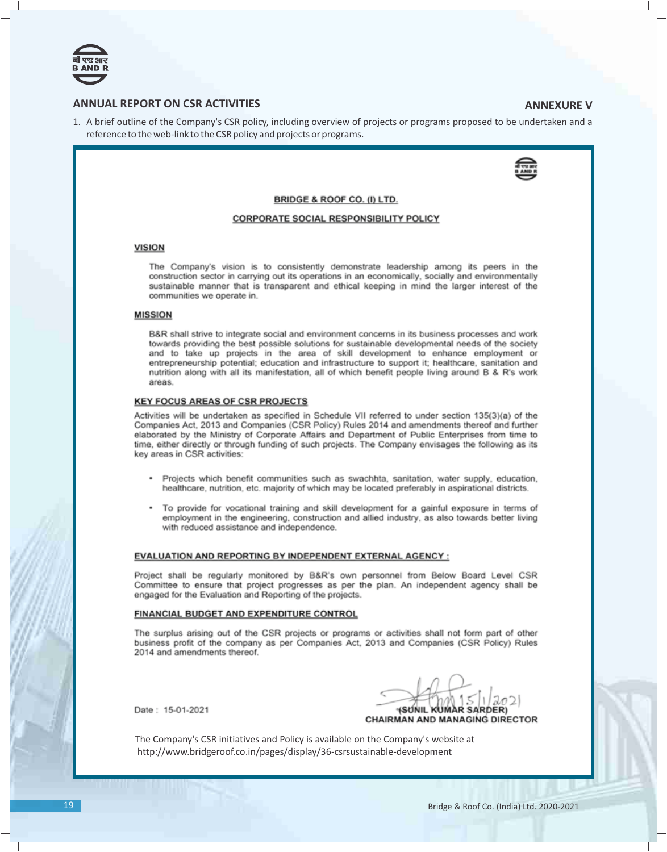

# **ANNUAL REPORT ON CSR ACTIVITIES ANNEXURE V**

1. A brief outline of the Company's CSR policy, including overview of projects or programs proposed to be undertaken and a reference to the web-link to the CSR policy and projects or programs.



### BRIDGE & ROOF CO. (I) LTD.

## **CORPORATE SOCIAL RESPONSIBILITY POLICY**

## **VISION**

The Company's vision is to consistently demonstrate leadership among its peers in the construction sector in carrying out its operations in an economically, socially and environmentally sustainable manner that is transparent and ethical keeping in mind the larger interest of the communities we operate in.

## **MISSION**

B&R shall strive to integrate social and environment concerns in its business processes and work towards providing the best possible solutions for sustainable developmental needs of the society and to take up projects in the area of skill development to enhance employment or entrepreneurship potential; education and infrastructure to support it; healthcare, sanitation and nutrition along with all its manifestation, all of which benefit people living around B & R's work areas.

## **KEY FOCUS AREAS OF CSR PROJECTS**

Activities will be undertaken as specified in Schedule VII referred to under section 135(3)(a) of the Companies Act, 2013 and Companies (CSR Policy) Rules 2014 and amendments thereof and further elaborated by the Ministry of Corporate Affairs and Department of Public Enterprises from time to time, either directly or through funding of such projects. The Company envisages the following as its key areas in CSR activities:

- Projects which benefit communities such as swachhta, sanitation, water supply, education, ٠ healthcare, nutrition, etc. majority of which may be located preferably in aspirational districts.
- To provide for vocational training and skill development for a gainful exposure in terms of employment in the engineering, construction and allied industry, as also towards better living with reduced assistance and independence.

#### EVALUATION AND REPORTING BY INDEPENDENT EXTERNAL AGENCY :

Project shall be regularly monitored by B&R's own personnel from Below Board Level CSR Committee to ensure that project progresses as per the plan. An independent agency shall be engaged for the Evaluation and Reporting of the projects.

#### FINANCIAL BUDGET AND EXPENDITURE CONTROL

The surplus arising out of the CSR projects or programs or activities shall not form part of other business profit of the company as per Companies Act, 2013 and Companies (CSR Policy) Rules 2014 and amendments thereof

Date: 15-01-2021

*SUNIL KUMAR SARDER)* **CHAIRMAN AND MANAGING DIRECTOR** 

The Company's CSR initiatives and Policy is available on the Company's website at http://www.bridgeroof.co.in/pages/display/36-csrsustainable-development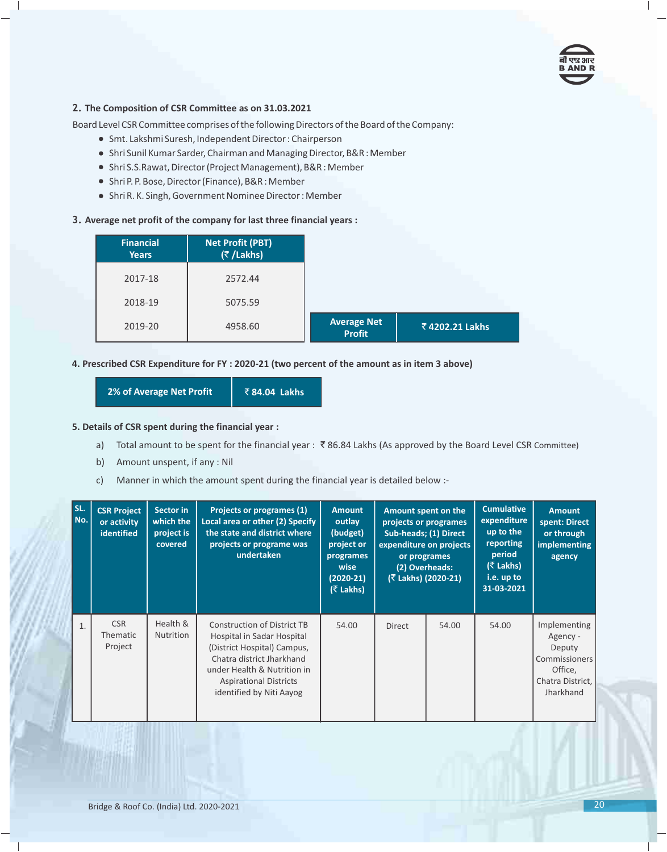

## **2. The Composition of CSR Committee as on 31.03.2021**

Board Level CSR Committee comprises of the following Directors of the Board of the Company:

- · Smt. Lakshmi Suresh, Independent Director : Chairperson
- · Shri Sunil Kumar Sarder, Chairman and Managing Director, B&R : Member
- · Shri S.S.Rawat, Director (Project Management), B&R : Member
- · Shri P. P. Bose, Director (Finance), B&R : Member
- · Shri R. K. Singh, Government Nominee Director : Member

## **3. Average net profit of the company for last three financial years :**

| <b>Financial</b><br><b>Years</b> | Net Profit (PBT)<br>(₹/Lakhs) |                                     |                |
|----------------------------------|-------------------------------|-------------------------------------|----------------|
| 2017-18                          | 2572.44                       |                                     |                |
| 2018-19                          | 5075.59                       |                                     |                |
| 2019-20                          | 4958.60                       | <b>Average Net</b><br><b>Profit</b> | ₹4202.21 Lakhs |

## **4. Prescribed CSR Expenditure for FY : 2020-21 (two percent of the amount as in item 3 above)**

**2% of Average Net Profit | ₹84.04 Lakhs** 

## **5. Details of CSR spent during the financial year :**

- a) Total amount to be spent for the financial year :  $\bar{\bar{\tau}}$  86.84 Lakhs (As approved by the Board Level CSR Committee)
- b) Amount unspent, if any : Nil
- c) Manner in which the amount spent during the financial year is detailed below :-

| SL.<br>No. | <b>CSR Project</b><br>or activity<br>identified | Sector in<br>which the<br>project is<br>covered | Projects or programes (1)<br>Local area or other (2) Specify<br>the state and district where<br>projects or programe was<br>undertaken                                                                                   | <b>Amount</b><br>outlay<br>(budget)<br>project or<br>programes<br>wise<br>$(2020-21)$<br>(₹ Lakhs) |               | Amount spent on the<br>projects or programes<br>Sub-heads; (1) Direct<br>expenditure on projects<br>or programes<br>(2) Overheads:<br>(₹ Lakhs) (2020-21) | <b>Cumulative</b><br>expenditure<br>up to the<br>reporting<br>period<br>(₹ Lakhs)<br>i.e. up to<br>31-03-2021 | <b>Amount</b><br>spent: Direct<br>or through<br>implementing<br>agency                          |
|------------|-------------------------------------------------|-------------------------------------------------|--------------------------------------------------------------------------------------------------------------------------------------------------------------------------------------------------------------------------|----------------------------------------------------------------------------------------------------|---------------|-----------------------------------------------------------------------------------------------------------------------------------------------------------|---------------------------------------------------------------------------------------------------------------|-------------------------------------------------------------------------------------------------|
| 1.         | <b>CSR</b><br><b>Thematic</b><br>Project        | Health &<br><b>Nutrition</b>                    | <b>Construction of District TB</b><br>Hospital in Sadar Hospital<br>(District Hospital) Campus,<br>Chatra district Jharkhand<br>under Health & Nutrition in<br><b>Aspirational Districts</b><br>identified by Niti Aayog | 54.00                                                                                              | <b>Direct</b> | 54.00                                                                                                                                                     | 54.00                                                                                                         | Implementing<br>Agency -<br>Deputy<br>Commissioners<br>Office,<br>Chatra District,<br>Jharkhand |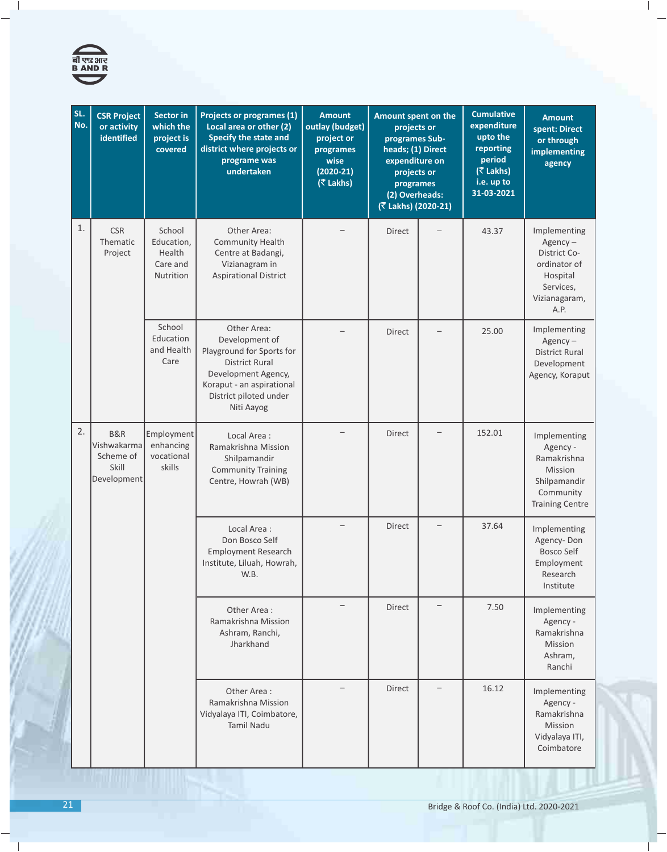

| SL.<br>No. | <b>CSR Project</b><br>or activity<br>identified | <b>Sector in</b><br>which the<br>project is<br>covered  | <b>Projects or programes (1)</b><br>Local area or other (2)<br>Specify the state and<br>district where projects or<br>programe was<br>undertaken                                | <b>Amount</b><br>outlay (budget)<br>project or<br>programes<br>wise<br>$(2020-21)$<br>(₹ Lakhs) |               | <b>Cumulative</b><br>expenditure<br>upto the<br>reporting<br>period<br>$($ ₹ Lakhs)<br>i.e. up to<br>31-03-2021                                                  | <b>Amount</b><br>spent: Direct<br>or through<br>implementing<br>agency                                      |
|------------|-------------------------------------------------|---------------------------------------------------------|---------------------------------------------------------------------------------------------------------------------------------------------------------------------------------|-------------------------------------------------------------------------------------------------|---------------|------------------------------------------------------------------------------------------------------------------------------------------------------------------|-------------------------------------------------------------------------------------------------------------|
| 1.         | <b>CSR</b><br>Thematic<br>Project               | School<br>Education,<br>Health<br>Care and<br>Nutrition | Other Area:<br><b>Community Health</b><br>Centre at Badangi,<br>Vizianagram in<br><b>Aspirational District</b>                                                                  |                                                                                                 | <b>Direct</b> | 43.37                                                                                                                                                            | Implementing<br>$Agency-$<br>District Co-<br>ordinator of<br>Hospital<br>Services,<br>Vizianagaram,<br>A.P. |
|            |                                                 | School<br>Education<br>and Health<br>Care               | Other Area:<br>Development of<br>Playground for Sports for<br><b>District Rural</b><br>Development Agency,<br>Koraput - an aspirational<br>District piloted under<br>Niti Aayog |                                                                                                 | <b>Direct</b> | 25.00                                                                                                                                                            | Implementing<br>$Agency -$<br><b>District Rural</b><br>Development<br>Agency, Koraput                       |
| 2.         | <b>B&amp;R</b><br>Scheme of<br>Skill            | Employment<br>enhancing<br>vocational<br>skills         | Local Area:<br>Ramakrishna Mission<br>Shilpamandir<br><b>Community Training</b><br>Centre, Howrah (WB)                                                                          |                                                                                                 | <b>Direct</b> | 152.01                                                                                                                                                           | Implementing<br>Agency -<br>Ramakrishna<br>Mission<br>Shilpamandir<br>Community<br><b>Training Centre</b>   |
|            |                                                 |                                                         | Local Area:<br>Don Bosco Self<br><b>Employment Research</b><br>Institute, Liluah, Howrah,<br>W.B.                                                                               |                                                                                                 | Direct        | 37.64                                                                                                                                                            | Implementing<br>Agency-Don<br><b>Bosco Self</b><br>Employment<br>Research<br>Institute                      |
|            |                                                 |                                                         | Other Area:<br>Ramakrishna Mission<br>Ashram, Ranchi,<br>Jharkhand                                                                                                              |                                                                                                 | <b>Direct</b> | 7.50                                                                                                                                                             | Implementing<br>Agency -<br>Ramakrishna<br>Mission<br>Ashram,<br>Ranchi                                     |
|            |                                                 |                                                         | Other Area:<br>Ramakrishna Mission<br>Vidyalaya ITI, Coimbatore,<br><b>Tamil Nadu</b>                                                                                           |                                                                                                 | <b>Direct</b> | 16.12                                                                                                                                                            | Implementing<br>Agency -<br>Ramakrishna<br>Mission<br>Vidyalaya ITI,<br>Coimbatore                          |
|            |                                                 | Vishwakarma                                             | Development                                                                                                                                                                     |                                                                                                 |               | Amount spent on the<br>projects or<br>programes Sub-<br>heads; (1) Direct<br>expenditure on<br>projects or<br>programes<br>(2) Overheads:<br>(₹ Lakhs) (2020-21) |                                                                                                             |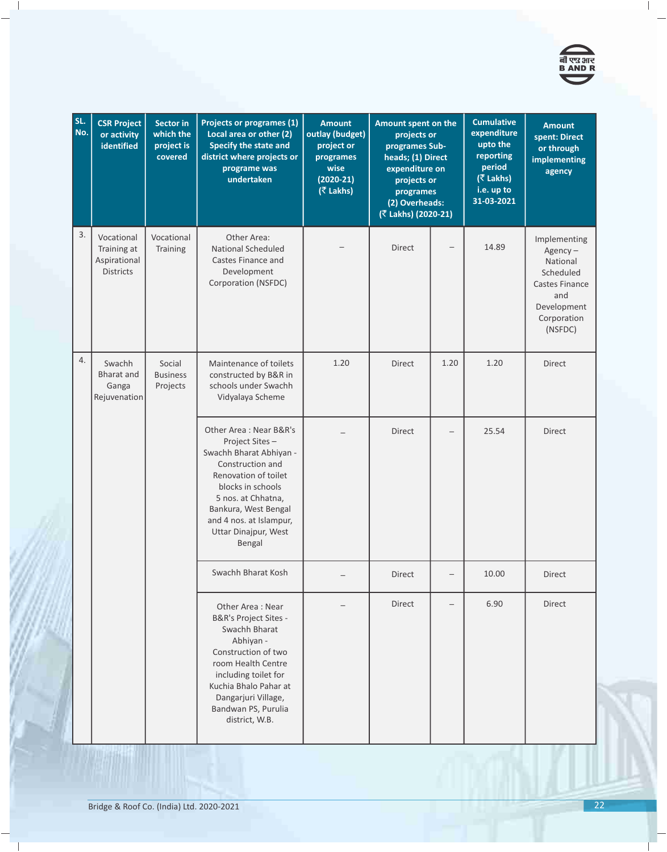

| SL.<br>No. | <b>CSR Project</b><br>or activity<br>identified               | <b>Sector in</b><br>which the<br>project is<br>covered | Projects or programes (1)<br>Local area or other (2)<br>Specify the state and<br>district where projects or<br>programe was<br>undertaken                                                                                                        | <b>Amount</b><br>outlay (budget)<br>project or<br>programes<br>wise<br>$(2020-21)$<br>(₹ Lakhs) | Amount spent on the<br>projects or<br>programes Sub-<br>heads; (1) Direct<br>expenditure on<br>projects or<br>programes<br>(2) Overheads:<br>(₹ Lakhs) (2020-21) |                          | <b>Cumulative</b><br>expenditure<br>upto the<br>reporting<br>period<br>(₹ Lakhs)<br>i.e. up to<br>31-03-2021 | <b>Amount</b><br>spent: Direct<br>or through<br>implementing<br>agency                                                       |
|------------|---------------------------------------------------------------|--------------------------------------------------------|--------------------------------------------------------------------------------------------------------------------------------------------------------------------------------------------------------------------------------------------------|-------------------------------------------------------------------------------------------------|------------------------------------------------------------------------------------------------------------------------------------------------------------------|--------------------------|--------------------------------------------------------------------------------------------------------------|------------------------------------------------------------------------------------------------------------------------------|
| 3.         | Vocational<br>Training at<br>Aspirational<br><b>Districts</b> | Vocational<br>Training                                 | Other Area:<br><b>National Scheduled</b><br>Castes Finance and<br>Development<br>Corporation (NSFDC)                                                                                                                                             |                                                                                                 | <b>Direct</b>                                                                                                                                                    |                          | 14.89                                                                                                        | Implementing<br>$Agency -$<br>National<br>Scheduled<br><b>Castes Finance</b><br>and<br>Development<br>Corporation<br>(NSFDC) |
| 4.         | Swachh<br><b>Bharat</b> and<br>Ganga<br>Rejuvenation          | Social<br><b>Business</b><br>Projects                  | Maintenance of toilets<br>constructed by B&R in<br>schools under Swachh<br>Vidyalaya Scheme                                                                                                                                                      | 1.20                                                                                            | <b>Direct</b>                                                                                                                                                    | 1.20                     | 1.20                                                                                                         | <b>Direct</b>                                                                                                                |
|            |                                                               |                                                        | Other Area: Near B&R's<br>Project Sites-<br>Swachh Bharat Abhiyan -<br>Construction and<br>Renovation of toilet<br>blocks in schools<br>5 nos. at Chhatna,<br>Bankura, West Bengal<br>and 4 nos. at Islampur,<br>Uttar Dinajpur, West<br>Bengal  |                                                                                                 | Direct                                                                                                                                                           | $\overline{\phantom{0}}$ | 25.54                                                                                                        | <b>Direct</b>                                                                                                                |
|            |                                                               |                                                        | Swachh Bharat Kosh                                                                                                                                                                                                                               |                                                                                                 | Direct                                                                                                                                                           |                          | 10.00                                                                                                        | Direct                                                                                                                       |
|            |                                                               |                                                        | Other Area: Near<br><b>B&amp;R's Project Sites -</b><br>Swachh Bharat<br>Abhiyan -<br>Construction of two<br>room Health Centre<br>including toilet for<br>Kuchia Bhalo Pahar at<br>Dangarjuri Village,<br>Bandwan PS, Purulia<br>district, W.B. |                                                                                                 | <b>Direct</b>                                                                                                                                                    | $\overline{\phantom{0}}$ | 6.90                                                                                                         | <b>Direct</b>                                                                                                                |

 $\overline{\phantom{a}}$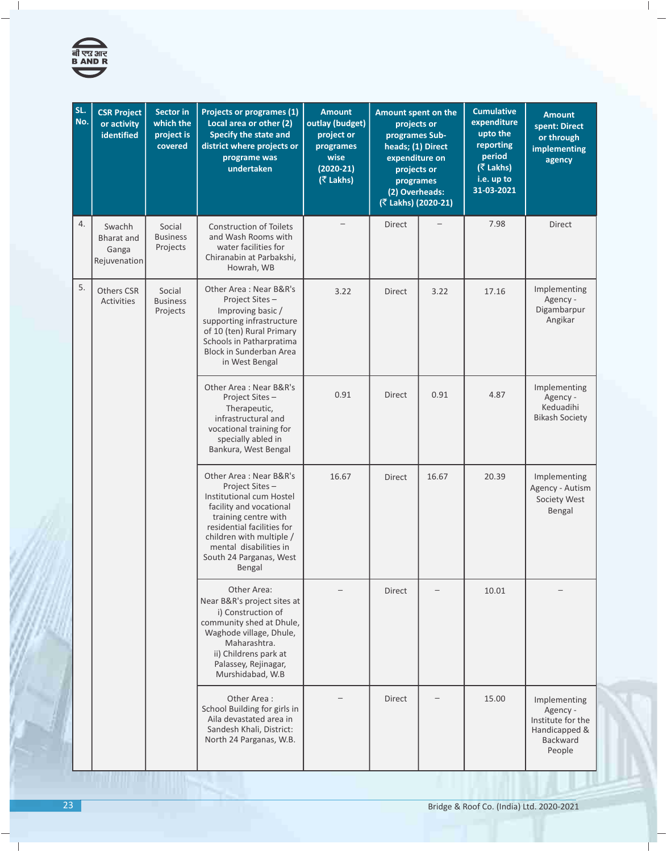

| SL.<br>No. | <b>CSR Project</b><br>or activity<br>identified      | <b>Sector in</b><br>which the<br>project is<br>covered | Projects or programes (1)<br>Local area or other (2)<br>Specify the state and<br>district where projects or<br>programe was<br>undertaken                                                                                                        | <b>Amount</b><br>outlay (budget)<br>project or<br>programes<br>wise<br>$(2020-21)$<br>(₹ Lakhs) | Amount spent on the<br>projects or<br>programes Sub-<br>heads; (1) Direct<br>expenditure on<br>projects or<br>programes<br>(2) Overheads:<br>(₹ Lakhs) (2020-21) |       | <b>Cumulative</b><br>expenditure<br>upto the<br>reporting<br>period<br>(₹ Lakhs)<br>i.e. up to<br>31-03-2021 | <b>Amount</b><br>spent: Direct<br>or through<br>implementing<br>agency                      |
|------------|------------------------------------------------------|--------------------------------------------------------|--------------------------------------------------------------------------------------------------------------------------------------------------------------------------------------------------------------------------------------------------|-------------------------------------------------------------------------------------------------|------------------------------------------------------------------------------------------------------------------------------------------------------------------|-------|--------------------------------------------------------------------------------------------------------------|---------------------------------------------------------------------------------------------|
| 4.         | Swachh<br><b>Bharat</b> and<br>Ganga<br>Rejuvenation | Social<br><b>Business</b><br>Projects                  | <b>Construction of Toilets</b><br>and Wash Rooms with<br>water facilities for<br>Chiranabin at Parbakshi,<br>Howrah, WB                                                                                                                          |                                                                                                 | Direct                                                                                                                                                           |       | 7.98                                                                                                         | <b>Direct</b>                                                                               |
| 5.         | <b>Others CSR</b><br>Activities                      | Social<br><b>Business</b><br>Projects                  | Other Area: Near B&R's<br>Project Sites-<br>Improving basic /<br>supporting infrastructure<br>of 10 (ten) Rural Primary<br>Schools in Patharpratima<br>Block in Sunderban Area<br>in West Bengal                                                 | 3.22                                                                                            | <b>Direct</b>                                                                                                                                                    | 3.22  | 17.16                                                                                                        | Implementing<br>Agency -<br>Digambarpur<br>Angikar                                          |
|            |                                                      |                                                        | Other Area: Near B&R's<br>Project Sites-<br>Therapeutic,<br>infrastructural and<br>vocational training for<br>specially abled in<br>Bankura, West Bengal                                                                                         | 0.91                                                                                            | <b>Direct</b>                                                                                                                                                    | 0.91  | 4.87                                                                                                         | Implementing<br>Agency -<br>Keduadihi<br><b>Bikash Society</b>                              |
|            |                                                      |                                                        | Other Area: Near B&R's<br>Project Sites-<br>Institutional cum Hostel<br>facility and vocational<br>training centre with<br>residential facilities for<br>children with multiple /<br>mental disabilities in<br>South 24 Parganas, West<br>Bengal | 16.67                                                                                           | Direct                                                                                                                                                           | 16.67 | 20.39                                                                                                        | Implementing<br>Agency - Autism<br>Society West<br>Bengal                                   |
|            |                                                      |                                                        | Other Area:<br>Near B&R's project sites at<br>i) Construction of<br>community shed at Dhule,<br>Waghode village, Dhule,<br>Maharashtra.<br>ii) Childrens park at<br>Palassey, Rejinagar,<br>Murshidabad, W.B                                     |                                                                                                 | Direct                                                                                                                                                           |       | 10.01                                                                                                        |                                                                                             |
|            |                                                      |                                                        | Other Area:<br>School Building for girls in<br>Aila devastated area in<br>Sandesh Khali, District:<br>North 24 Parganas, W.B.                                                                                                                    |                                                                                                 | <b>Direct</b>                                                                                                                                                    |       | 15.00                                                                                                        | Implementing<br>Agency -<br>Institute for the<br>Handicapped &<br><b>Backward</b><br>People |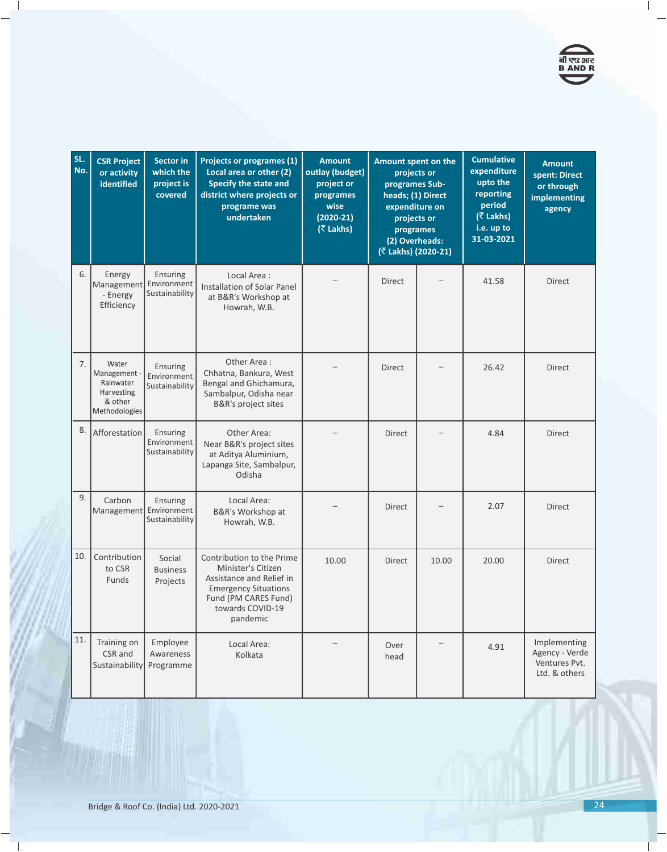

| SL.<br>No. | <b>CSR Project</b><br>or activity<br>identified                              | <b>Sector in</b><br>which the<br>project is<br>covered | <b>Projects or programes (1)</b><br>Local area or other (2)<br>Specify the state and<br>district where projects or<br>programe was<br>undertaken                   | <b>Amount</b><br>outlay (budget)<br>project or<br>programes<br>wise<br>$(2020-21)$<br>(₹ Lakhs) | Amount spent on the<br>projects or<br>programes Sub-<br>heads; (1) Direct<br>expenditure on<br>projects or<br>programes<br>(2) Overheads:<br>(₹ Lakhs) (2020-21) |       | <b>Cumulative</b><br>expenditure<br>upto the<br>reporting<br>period<br>$($ ₹ Lakhs)<br>i.e. up to<br>31-03-2021 | <b>Amount</b><br>spent: Direct<br>or through<br>implementing<br>agency |
|------------|------------------------------------------------------------------------------|--------------------------------------------------------|--------------------------------------------------------------------------------------------------------------------------------------------------------------------|-------------------------------------------------------------------------------------------------|------------------------------------------------------------------------------------------------------------------------------------------------------------------|-------|-----------------------------------------------------------------------------------------------------------------|------------------------------------------------------------------------|
| 6.         | Energy<br>Management Environment<br>- Energy<br>Efficiency                   | Ensuring<br>Sustainability                             | Local Area:<br><b>Installation of Solar Panel</b><br>at B&R's Workshop at<br>Howrah, W.B.                                                                          |                                                                                                 | <b>Direct</b>                                                                                                                                                    |       | 41.58                                                                                                           | <b>Direct</b>                                                          |
| 7.         | Water<br>Management -<br>Rainwater<br>Harvesting<br>& other<br>Methodologies | Ensuring<br>Environment<br>Sustainability              | Other Area:<br>Chhatna, Bankura, West<br>Bengal and Ghichamura,<br>Sambalpur, Odisha near<br><b>B&amp;R's project sites</b>                                        |                                                                                                 | Direct                                                                                                                                                           |       | 26.42                                                                                                           | Direct                                                                 |
| 8.         | Afforestation                                                                | Ensuring<br>Environment<br>Sustainability              | Other Area:<br>Near B&R's project sites<br>at Aditya Aluminium,<br>Lapanga Site, Sambalpur,<br>Odisha                                                              |                                                                                                 | Direct                                                                                                                                                           |       | 4.84                                                                                                            | Direct                                                                 |
| 9.         | Carbon<br>Management                                                         | Ensuring<br>Environment<br>Sustainability              | Local Area:<br>B&R's Workshop at<br>Howrah, W.B.                                                                                                                   |                                                                                                 | <b>Direct</b>                                                                                                                                                    |       | 2.07                                                                                                            | <b>Direct</b>                                                          |
| 10.        | Contribution<br>to CSR<br>Funds                                              | Social<br><b>Business</b><br>Projects                  | Contribution to the Prime<br>Minister's Citizen<br>Assistance and Relief in<br><b>Emergency Situations</b><br>Fund (PM CARES Fund)<br>towards COVID-19<br>pandemic | 10.00                                                                                           | <b>Direct</b>                                                                                                                                                    | 10.00 | 20.00                                                                                                           | <b>Direct</b>                                                          |
| 11.        | Training on<br>CSR and<br>Sustainability                                     | Employee<br>Awareness<br>Programme                     | Local Area:<br>Kolkata                                                                                                                                             |                                                                                                 | Over<br>head                                                                                                                                                     |       | 4.91                                                                                                            | Implementing<br>Agency - Verde<br>Ventures Pvt.<br>Ltd. & others       |